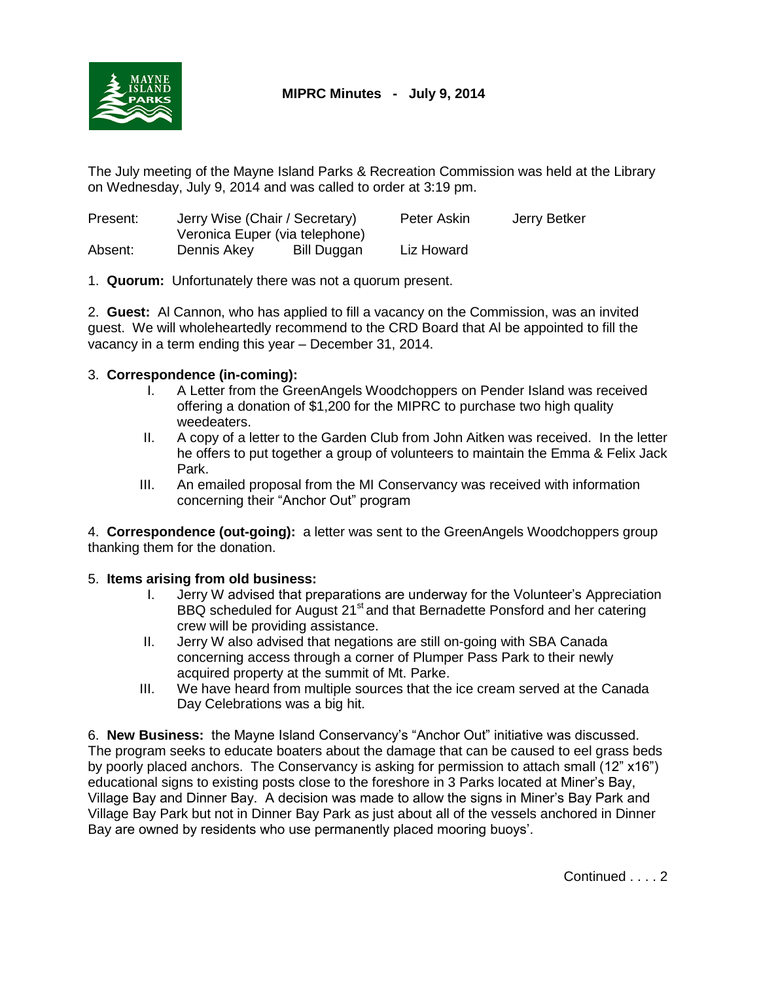

The July meeting of the Mayne Island Parks & Recreation Commission was held at the Library on Wednesday, July 9, 2014 and was called to order at 3:19 pm.

| Present: | Jerry Wise (Chair / Secretary)<br>Veronica Euper (via telephone) |             | Peter Askin | Jerry Betker |
|----------|------------------------------------------------------------------|-------------|-------------|--------------|
|          |                                                                  |             |             |              |
| Absent:  | Dennis Akey                                                      | Bill Duggan | Liz Howard  |              |

1. **Quorum:** Unfortunately there was not a quorum present.

2. **Guest:** Al Cannon, who has applied to fill a vacancy on the Commission, was an invited guest. We will wholeheartedly recommend to the CRD Board that Al be appointed to fill the vacancy in a term ending this year – December 31, 2014.

## 3. **Correspondence (in-coming):**

- I. A Letter from the GreenAngels Woodchoppers on Pender Island was received offering a donation of \$1,200 for the MIPRC to purchase two high quality weedeaters.
- II. A copy of a letter to the Garden Club from John Aitken was received. In the letter he offers to put together a group of volunteers to maintain the Emma & Felix Jack Park.
- III. An emailed proposal from the MI Conservancy was received with information concerning their "Anchor Out" program

4. **Correspondence (out-going):** a letter was sent to the GreenAngels Woodchoppers group thanking them for the donation.

## 5. **Items arising from old business:**

- I. Jerry W advised that preparations are underway for the Volunteer's Appreciation BBQ scheduled for August 21<sup>st</sup> and that Bernadette Ponsford and her catering crew will be providing assistance.
- II. Jerry W also advised that negations are still on-going with SBA Canada concerning access through a corner of Plumper Pass Park to their newly acquired property at the summit of Mt. Parke.
- III. We have heard from multiple sources that the ice cream served at the Canada Day Celebrations was a big hit.

6. **New Business:** the Mayne Island Conservancy's "Anchor Out" initiative was discussed. The program seeks to educate boaters about the damage that can be caused to eel grass beds by poorly placed anchors.The Conservancy is asking for permission to attach small (12" x16") educational signs to existing posts close to the foreshore in 3 Parks located at Miner's Bay, Village Bay and Dinner Bay. A decision was made to allow the signs in Miner's Bay Park and Village Bay Park but not in Dinner Bay Park as just about all of the vessels anchored in Dinner Bay are owned by residents who use permanently placed mooring buoys'.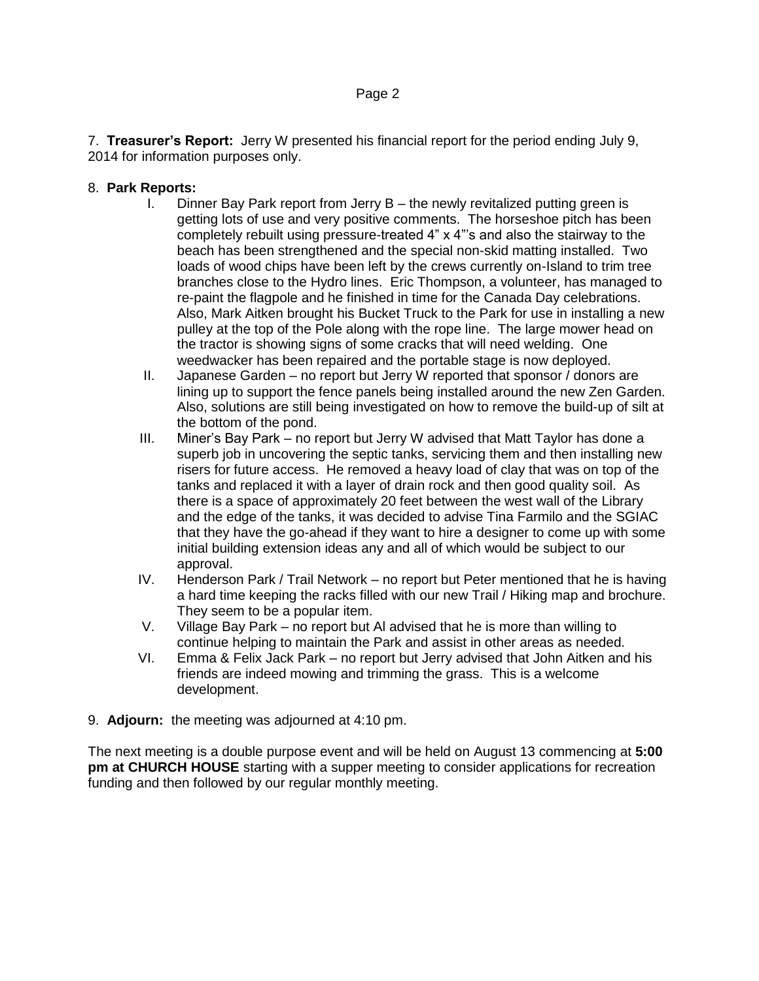7. **Treasurer's Report:** Jerry W presented his financial report for the period ending July 9, 2014 for information purposes only.

## 8. **Park Reports:**

- I. Dinner Bay Park report from Jerry B the newly revitalized putting green is getting lots of use and very positive comments. The horseshoe pitch has been completely rebuilt using pressure-treated 4" x 4"'s and also the stairway to the beach has been strengthened and the special non-skid matting installed. Two loads of wood chips have been left by the crews currently on-Island to trim tree branches close to the Hydro lines. Eric Thompson, a volunteer, has managed to re-paint the flagpole and he finished in time for the Canada Day celebrations. Also, Mark Aitken brought his Bucket Truck to the Park for use in installing a new pulley at the top of the Pole along with the rope line. The large mower head on the tractor is showing signs of some cracks that will need welding. One weedwacker has been repaired and the portable stage is now deployed.
- II. Japanese Garden no report but Jerry W reported that sponsor / donors are lining up to support the fence panels being installed around the new Zen Garden. Also, solutions are still being investigated on how to remove the build-up of silt at the bottom of the pond.
- III. Miner's Bay Park no report but Jerry W advised that Matt Taylor has done a superb job in uncovering the septic tanks, servicing them and then installing new risers for future access. He removed a heavy load of clay that was on top of the tanks and replaced it with a layer of drain rock and then good quality soil. As there is a space of approximately 20 feet between the west wall of the Library and the edge of the tanks, it was decided to advise Tina Farmilo and the SGIAC that they have the go-ahead if they want to hire a designer to come up with some initial building extension ideas any and all of which would be subject to our approval.
- IV. Henderson Park / Trail Network no report but Peter mentioned that he is having a hard time keeping the racks filled with our new Trail / Hiking map and brochure. They seem to be a popular item.
- V. Village Bay Park no report but Al advised that he is more than willing to continue helping to maintain the Park and assist in other areas as needed.
- VI. Emma & Felix Jack Park no report but Jerry advised that John Aitken and his friends are indeed mowing and trimming the grass. This is a welcome development.
- 9. **Adjourn:** the meeting was adjourned at 4:10 pm.

The next meeting is a double purpose event and will be held on August 13 commencing at **5:00 pm at CHURCH HOUSE** starting with a supper meeting to consider applications for recreation funding and then followed by our regular monthly meeting.